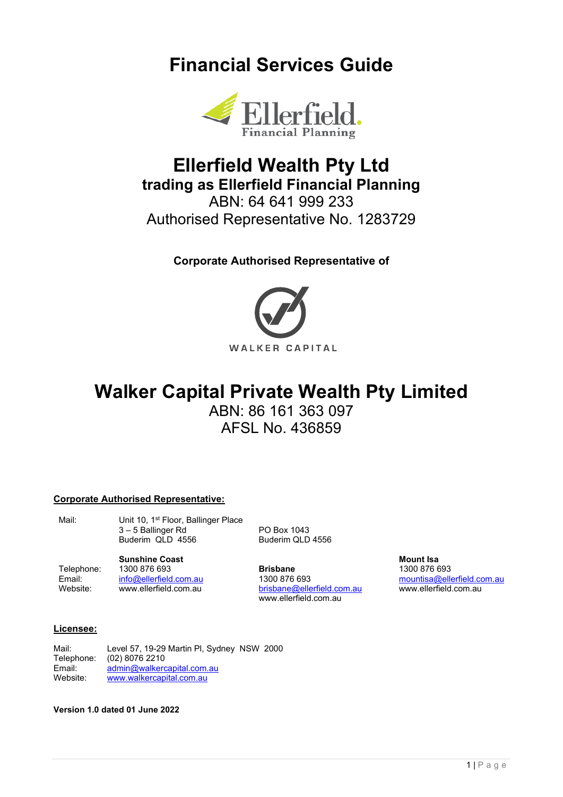# **Financial Services Guide**



# **Ellerfield Wealth Pty Ltd trading as Ellerfield Financial Planning**

ABN: 64 641 999 233 Authorised Representative No. 1283729

**Corporate Authorised Representative of** 



# **Walker Capital Private Wealth Pty Limited**  ABN: 86 161 363 097 AFSL No. 436859

#### **Corporate Authorised Representative:**

Mail:

Email:

Telephone: Website: **Sunshine Coast**  1300 876 693 info@ellerfield.com.au www.ellerfield.com.au

3 – 5 Ballinger Rd Buderim QLD 4556 PO Box 1043 Buderim QLD 4556

**Brisbane**  1300 876 693 brisbane@ellerfield.com.au www.ellerfield.com.au

**Mount Isa**  1300 876 693 mountisa@ellerfield.com.au www.ellerfield.com.au

#### **Licensee:**

Mail: Level 57, 19-29 Martin Pl, Sydney NSW 2000 Telephone: (02) 8076 2210 Email: admin@walkercapital.com.au<br>Website: www.walkercapital.com.au www.walkercapital.com.au

Unit 10, 1st Floor, Ballinger Place

**Version 1.0 dated 01 June 2022**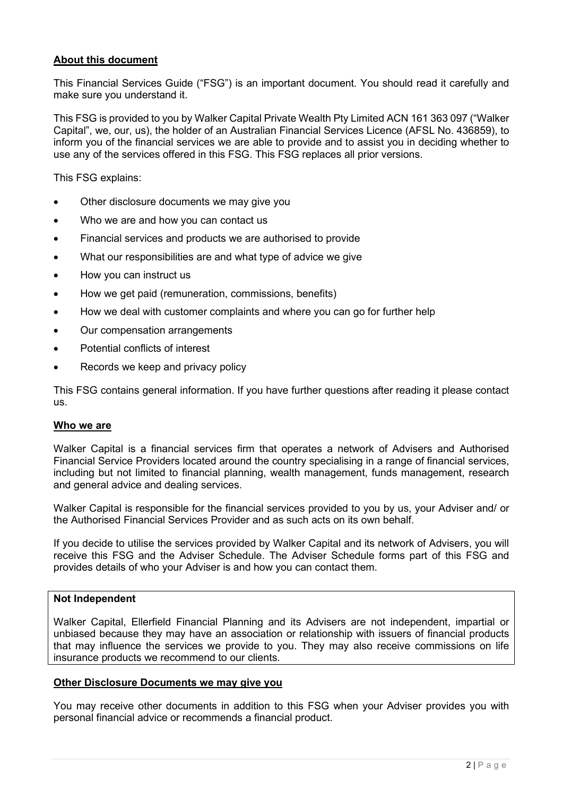# **About this document**

This Financial Services Guide ("FSG") is an important document. You should read it carefully and make sure you understand it.

This FSG is provided to you by Walker Capital Private Wealth Pty Limited ACN 161 363 097 ("Walker Capital", we, our, us), the holder of an Australian Financial Services Licence (AFSL No. 436859), to inform you of the financial services we are able to provide and to assist you in deciding whether to use any of the services offered in this FSG. This FSG replaces all prior versions.

This FSG explains:

- Other disclosure documents we may give you
- Who we are and how you can contact us
- Financial services and products we are authorised to provide
- What our responsibilities are and what type of advice we give
- How you can instruct us
- How we get paid (remuneration, commissions, benefits)
- How we deal with customer complaints and where you can go for further help
- Our compensation arrangements
- Potential conflicts of interest
- Records we keep and privacy policy

This FSG contains general information. If you have further questions after reading it please contact us.

## **Who we are**

Walker Capital is a financial services firm that operates a network of Advisers and Authorised Financial Service Providers located around the country specialising in a range of financial services, including but not limited to financial planning, wealth management, funds management, research and general advice and dealing services.

Walker Capital is responsible for the financial services provided to you by us, your Adviser and/ or the Authorised Financial Services Provider and as such acts on its own behalf.

If you decide to utilise the services provided by Walker Capital and its network of Advisers, you will receive this FSG and the Adviser Schedule. The Adviser Schedule forms part of this FSG and provides details of who your Adviser is and how you can contact them.

#### **Not Independent**

Walker Capital, Ellerfield Financial Planning and its Advisers are not independent, impartial or unbiased because they may have an association or relationship with issuers of financial products that may influence the services we provide to you. They may also receive commissions on life insurance products we recommend to our clients.

#### **Other Disclosure Documents we may give you**

You may receive other documents in addition to this FSG when your Adviser provides you with personal financial advice or recommends a financial product.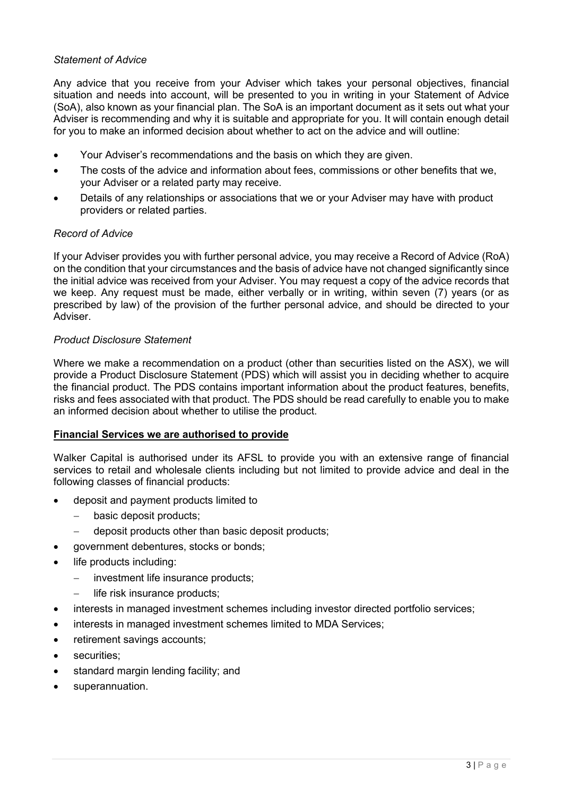# *Statement of Advice*

Any advice that you receive from your Adviser which takes your personal objectives, financial situation and needs into account, will be presented to you in writing in your Statement of Advice (SoA), also known as your financial plan. The SoA is an important document as it sets out what your Adviser is recommending and why it is suitable and appropriate for you. It will contain enough detail for you to make an informed decision about whether to act on the advice and will outline:

- Your Adviser's recommendations and the basis on which they are given.
- The costs of the advice and information about fees, commissions or other benefits that we, your Adviser or a related party may receive.
- Details of any relationships or associations that we or your Adviser may have with product providers or related parties.

### *Record of Advice*

If your Adviser provides you with further personal advice, you may receive a Record of Advice (RoA) on the condition that your circumstances and the basis of advice have not changed significantly since the initial advice was received from your Adviser. You may request a copy of the advice records that we keep. Any request must be made, either verbally or in writing, within seven (7) years (or as prescribed by law) of the provision of the further personal advice, and should be directed to your Adviser.

### *Product Disclosure Statement*

Where we make a recommendation on a product (other than securities listed on the ASX), we will provide a Product Disclosure Statement (PDS) which will assist you in deciding whether to acquire the financial product. The PDS contains important information about the product features, benefits, risks and fees associated with that product. The PDS should be read carefully to enable you to make an informed decision about whether to utilise the product.

# **Financial Services we are authorised to provide**

Walker Capital is authorised under its AFSL to provide you with an extensive range of financial services to retail and wholesale clients including but not limited to provide advice and deal in the following classes of financial products:

- deposit and payment products limited to
	- basic deposit products;
	- deposit products other than basic deposit products;
- government debentures, stocks or bonds;
- life products including:
	- investment life insurance products;
	- life risk insurance products;
- interests in managed investment schemes including investor directed portfolio services;
- interests in managed investment schemes limited to MDA Services;
- retirement savings accounts;
- securities:
- standard margin lending facility; and
- superannuation.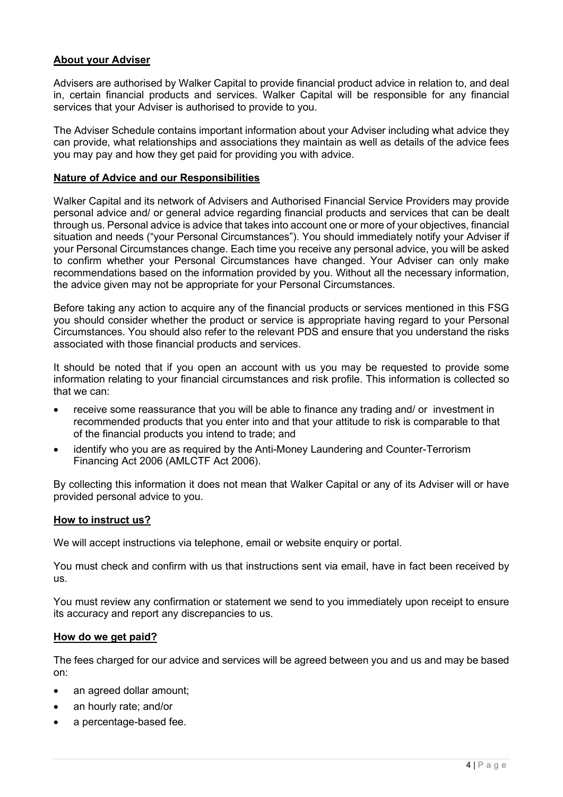# **About your Adviser**

Advisers are authorised by Walker Capital to provide financial product advice in relation to, and deal in, certain financial products and services. Walker Capital will be responsible for any financial services that your Adviser is authorised to provide to you.

The Adviser Schedule contains important information about your Adviser including what advice they can provide, what relationships and associations they maintain as well as details of the advice fees you may pay and how they get paid for providing you with advice.

# **Nature of Advice and our Responsibilities**

Walker Capital and its network of Advisers and Authorised Financial Service Providers may provide personal advice and/ or general advice regarding financial products and services that can be dealt through us. Personal advice is advice that takes into account one or more of your objectives, financial situation and needs ("your Personal Circumstances"). You should immediately notify your Adviser if your Personal Circumstances change. Each time you receive any personal advice, you will be asked to confirm whether your Personal Circumstances have changed. Your Adviser can only make recommendations based on the information provided by you. Without all the necessary information, the advice given may not be appropriate for your Personal Circumstances.

Before taking any action to acquire any of the financial products or services mentioned in this FSG you should consider whether the product or service is appropriate having regard to your Personal Circumstances. You should also refer to the relevant PDS and ensure that you understand the risks associated with those financial products and services.

It should be noted that if you open an account with us you may be requested to provide some information relating to your financial circumstances and risk profile. This information is collected so that we can:

- receive some reassurance that you will be able to finance any trading and/ or investment in recommended products that you enter into and that your attitude to risk is comparable to that of the financial products you intend to trade; and
- identify who you are as required by the Anti-Money Laundering and Counter-Terrorism Financing Act 2006 (AMLCTF Act 2006).

By collecting this information it does not mean that Walker Capital or any of its Adviser will or have provided personal advice to you.

#### **How to instruct us?**

We will accept instructions via telephone, email or website enquiry or portal.

You must check and confirm with us that instructions sent via email, have in fact been received by us.

You must review any confirmation or statement we send to you immediately upon receipt to ensure its accuracy and report any discrepancies to us.

#### **How do we get paid?**

The fees charged for our advice and services will be agreed between you and us and may be based on:

- an agreed dollar amount;
- an hourly rate; and/or
- a percentage-based fee.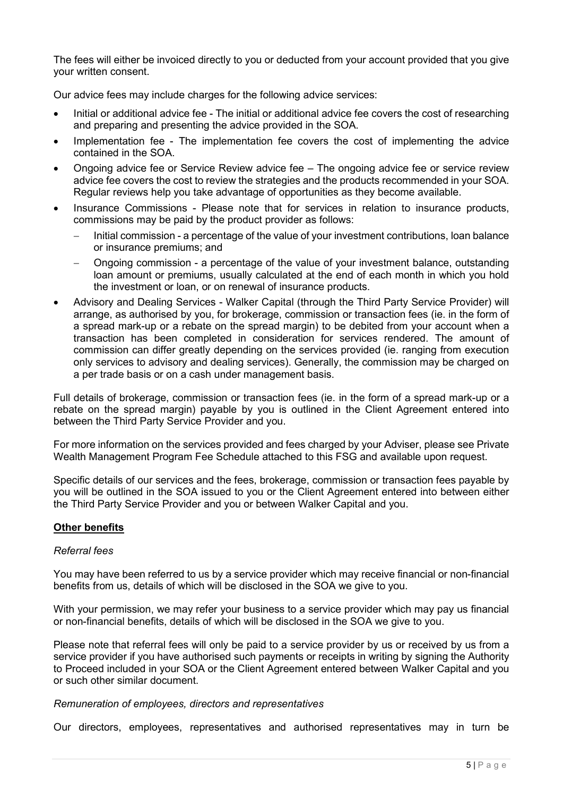The fees will either be invoiced directly to you or deducted from your account provided that you give your written consent.

Our advice fees may include charges for the following advice services:

- Initial or additional advice fee The initial or additional advice fee covers the cost of researching and preparing and presenting the advice provided in the SOA.
- Implementation fee The implementation fee covers the cost of implementing the advice contained in the SOA.
- Ongoing advice fee or Service Review advice fee The ongoing advice fee or service review advice fee covers the cost to review the strategies and the products recommended in your SOA. Regular reviews help you take advantage of opportunities as they become available.
- Insurance Commissions Please note that for services in relation to insurance products, commissions may be paid by the product provider as follows:
	- Initial commission a percentage of the value of your investment contributions, loan balance or insurance premiums; and
	- Ongoing commission a percentage of the value of your investment balance, outstanding loan amount or premiums, usually calculated at the end of each month in which you hold the investment or loan, or on renewal of insurance products.
- Advisory and Dealing Services Walker Capital (through the Third Party Service Provider) will arrange, as authorised by you, for brokerage, commission or transaction fees (ie. in the form of a spread mark-up or a rebate on the spread margin) to be debited from your account when a transaction has been completed in consideration for services rendered. The amount of commission can differ greatly depending on the services provided (ie. ranging from execution only services to advisory and dealing services). Generally, the commission may be charged on a per trade basis or on a cash under management basis.

Full details of brokerage, commission or transaction fees (ie. in the form of a spread mark-up or a rebate on the spread margin) payable by you is outlined in the Client Agreement entered into between the Third Party Service Provider and you.

For more information on the services provided and fees charged by your Adviser, please see Private Wealth Management Program Fee Schedule attached to this FSG and available upon request.

Specific details of our services and the fees, brokerage, commission or transaction fees payable by you will be outlined in the SOA issued to you or the Client Agreement entered into between either the Third Party Service Provider and you or between Walker Capital and you.

# **Other benefits**

#### *Referral fees*

You may have been referred to us by a service provider which may receive financial or non-financial benefits from us, details of which will be disclosed in the SOA we give to you.

With your permission, we may refer your business to a service provider which may pay us financial or non-financial benefits, details of which will be disclosed in the SOA we give to you.

Please note that referral fees will only be paid to a service provider by us or received by us from a service provider if you have authorised such payments or receipts in writing by signing the Authority to Proceed included in your SOA or the Client Agreement entered between Walker Capital and you or such other similar document.

#### *Remuneration of employees, directors and representatives*

Our directors, employees, representatives and authorised representatives may in turn be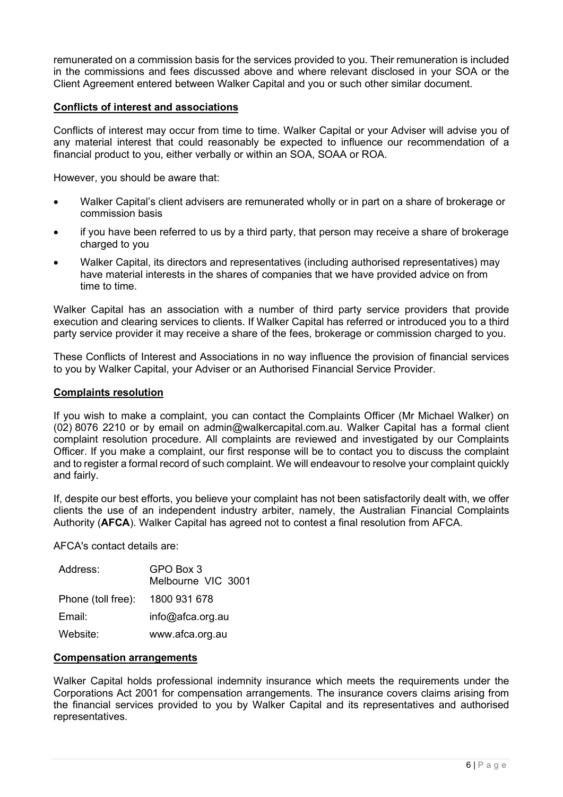remunerated on a commission basis for the services provided to you. Their remuneration is included in the commissions and fees discussed above and where relevant disclosed in your SOA or the Client Agreement entered between Walker Capital and you or such other similar document.

# **Conflicts of interest and associations**

Conflicts of interest may occur from time to time. Walker Capital or your Adviser will advise you of any material interest that could reasonably be expected to influence our recommendation of a financial product to you, either verbally or within an SOA, SOAA or ROA.

However, you should be aware that:

- Walker Capital's client advisers are remunerated wholly or in part on a share of brokerage or commission basis
- if you have been referred to us by a third party, that person may receive a share of brokerage charged to you
- Walker Capital, its directors and representatives (including authorised representatives) may have material interests in the shares of companies that we have provided advice on from time to time.

Walker Capital has an association with a number of third party service providers that provide execution and clearing services to clients. If Walker Capital has referred or introduced you to a third party service provider it may receive a share of the fees, brokerage or commission charged to you.

These Conflicts of Interest and Associations in no way influence the provision of financial services to you by Walker Capital, your Adviser or an Authorised Financial Service Provider.

### **Complaints resolution**

If you wish to make a complaint, you can contact the Complaints Officer (Mr Michael Walker) on (02) 8076 2210 or by email on admin@walkercapital.com.au. Walker Capital has a formal client complaint resolution procedure. All complaints are reviewed and investigated by our Complaints Officer. If you make a complaint, our first response will be to contact you to discuss the complaint and to register a formal record of such complaint. We will endeavour to resolve your complaint quickly and fairly.

If, despite our best efforts, you believe your complaint has not been satisfactorily dealt with, we offer clients the use of an independent industry arbiter, namely, the Australian Financial Complaints Authority (**AFCA**). Walker Capital has agreed not to contest a final resolution from AFCA.

AFCA's contact details are:

| Address:           | GPO Box 3<br>Melbourne VIC 3001 |
|--------------------|---------------------------------|
| Phone (toll free): | 1800 931 678                    |
| Email:             | info@afca.org.au                |
| Website:           | www.afca.org.au                 |

#### **Compensation arrangements**

Walker Capital holds professional indemnity insurance which meets the requirements under the Corporations Act 2001 for compensation arrangements. The insurance covers claims arising from the financial services provided to you by Walker Capital and its representatives and authorised representatives.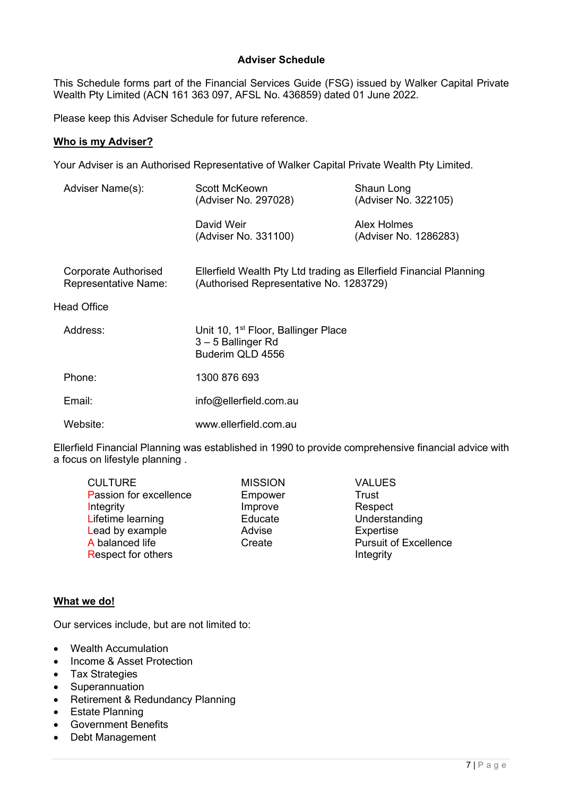## **Adviser Schedule**

This Schedule forms part of the Financial Services Guide (FSG) issued by Walker Capital Private Wealth Pty Limited (ACN 161 363 097, AFSL No. 436859) dated 01 June 2022.

Please keep this Adviser Schedule for future reference.

#### **Who is my Adviser?**

Your Adviser is an Authorised Representative of Walker Capital Private Wealth Pty Limited.

| Adviser Name(s):                                    | Scott McKeown<br>(Adviser No. 297028)                                                                         | Shaun Long<br>(Adviser No. 322105)   |
|-----------------------------------------------------|---------------------------------------------------------------------------------------------------------------|--------------------------------------|
|                                                     | David Weir<br>(Adviser No. 331100)                                                                            | Alex Holmes<br>(Adviser No. 1286283) |
| Corporate Authorised<br><b>Representative Name:</b> | Ellerfield Wealth Pty Ltd trading as Ellerfield Financial Planning<br>(Authorised Representative No. 1283729) |                                      |
| Head Office                                         |                                                                                                               |                                      |
| Address:                                            | Unit 10, 1 <sup>st</sup> Floor, Ballinger Place<br>3-5 Ballinger Rd<br>Buderim QLD 4556                       |                                      |
| Phone:                                              | 1300 876 693                                                                                                  |                                      |
| Email:                                              | info@ellerfield.com.au                                                                                        |                                      |
| Website:                                            | www.ellerfield.com.au                                                                                         |                                      |

Ellerfield Financial Planning was established in 1990 to provide comprehensive financial advice with a focus on lifestyle planning .

| <b>CULTURE</b>            | <b>MISSION</b> | <b>VALUES</b>                |
|---------------------------|----------------|------------------------------|
| Passion for excellence    | Empower        | Trust                        |
| Integrity                 | Improve        | Respect                      |
| <b>Lifetime learning</b>  | Educate        | Understanding                |
| Lead by example           | Advise         | Expertise                    |
| A balanced life           | Create         | <b>Pursuit of Excellence</b> |
| <b>Respect for others</b> |                | Integrity                    |

# **What we do!**

Our services include, but are not limited to:

- Wealth Accumulation
- Income & Asset Protection
- Tax Strategies
- Superannuation
- Retirement & Redundancy Planning
- Estate Planning
- Government Benefits
- Debt Management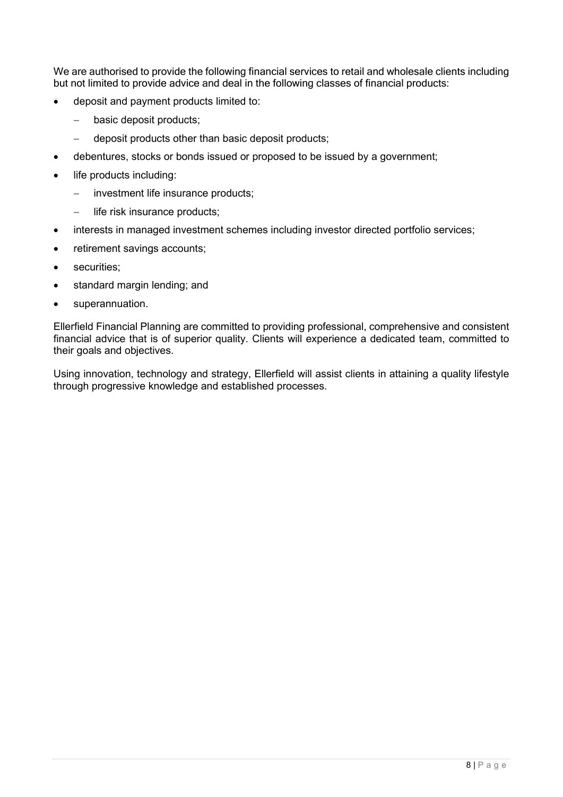We are authorised to provide the following financial services to retail and wholesale clients including but not limited to provide advice and deal in the following classes of financial products:

- deposit and payment products limited to:
	- basic deposit products;
	- deposit products other than basic deposit products;
- debentures, stocks or bonds issued or proposed to be issued by a government;
- life products including:
	- $-$  investment life insurance products;
	- life risk insurance products;
- interests in managed investment schemes including investor directed portfolio services;
- retirement savings accounts;
- securities:
- standard margin lending; and
- superannuation.

Ellerfield Financial Planning are committed to providing professional, comprehensive and consistent financial advice that is of superior quality. Clients will experience a dedicated team, committed to their goals and objectives.

Using innovation, technology and strategy, Ellerfield will assist clients in attaining a quality lifestyle through progressive knowledge and established processes.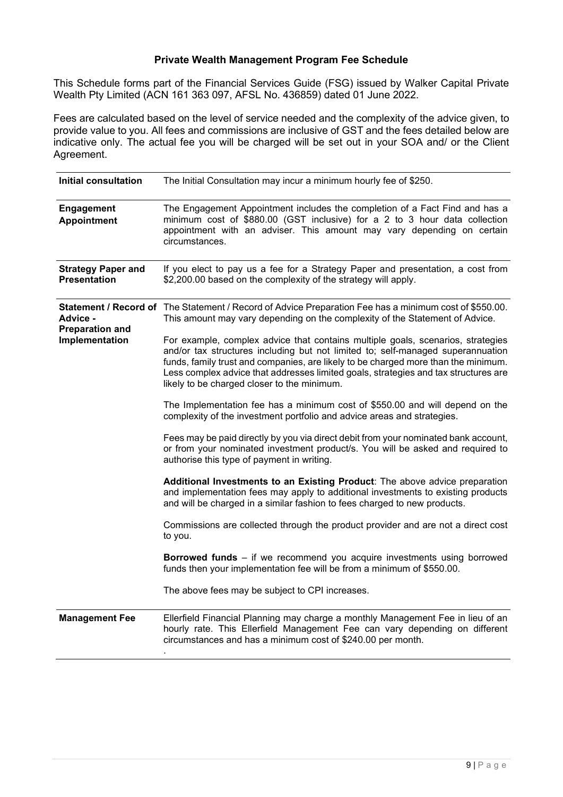## **Private Wealth Management Program Fee Schedule**

This Schedule forms part of the Financial Services Guide (FSG) issued by Walker Capital Private Wealth Pty Limited (ACN 161 363 097, AFSL No. 436859) dated 01 June 2022.

Fees are calculated based on the level of service needed and the complexity of the advice given, to provide value to you. All fees and commissions are inclusive of GST and the fees detailed below are indicative only. The actual fee you will be charged will be set out in your SOA and/ or the Client Agreement.

| <b>Initial consultation</b>                          | The Initial Consultation may incur a minimum hourly fee of \$250.                                                                                                                                                                                                                                                                                                                              |
|------------------------------------------------------|------------------------------------------------------------------------------------------------------------------------------------------------------------------------------------------------------------------------------------------------------------------------------------------------------------------------------------------------------------------------------------------------|
| <b>Engagement</b><br><b>Appointment</b>              | The Engagement Appointment includes the completion of a Fact Find and has a<br>minimum cost of \$880.00 (GST inclusive) for a 2 to 3 hour data collection<br>appointment with an adviser. This amount may vary depending on certain<br>circumstances.                                                                                                                                          |
| <b>Strategy Paper and</b><br><b>Presentation</b>     | If you elect to pay us a fee for a Strategy Paper and presentation, a cost from<br>\$2,200.00 based on the complexity of the strategy will apply.                                                                                                                                                                                                                                              |
| Advice -<br><b>Preparation and</b><br>Implementation | Statement / Record of The Statement / Record of Advice Preparation Fee has a minimum cost of \$550.00.<br>This amount may vary depending on the complexity of the Statement of Advice.                                                                                                                                                                                                         |
|                                                      | For example, complex advice that contains multiple goals, scenarios, strategies<br>and/or tax structures including but not limited to; self-managed superannuation<br>funds, family trust and companies, are likely to be charged more than the minimum.<br>Less complex advice that addresses limited goals, strategies and tax structures are<br>likely to be charged closer to the minimum. |
|                                                      | The Implementation fee has a minimum cost of \$550.00 and will depend on the<br>complexity of the investment portfolio and advice areas and strategies.                                                                                                                                                                                                                                        |
|                                                      | Fees may be paid directly by you via direct debit from your nominated bank account,<br>or from your nominated investment product/s. You will be asked and required to<br>authorise this type of payment in writing.                                                                                                                                                                            |
|                                                      | Additional Investments to an Existing Product: The above advice preparation<br>and implementation fees may apply to additional investments to existing products<br>and will be charged in a similar fashion to fees charged to new products.                                                                                                                                                   |
|                                                      | Commissions are collected through the product provider and are not a direct cost<br>to you.                                                                                                                                                                                                                                                                                                    |
|                                                      | <b>Borrowed funds</b> – if we recommend you acquire investments using borrowed<br>funds then your implementation fee will be from a minimum of \$550.00.                                                                                                                                                                                                                                       |
|                                                      | The above fees may be subject to CPI increases.                                                                                                                                                                                                                                                                                                                                                |
| <b>Management Fee</b>                                | Ellerfield Financial Planning may charge a monthly Management Fee in lieu of an<br>hourly rate. This Ellerfield Management Fee can vary depending on different<br>circumstances and has a minimum cost of \$240.00 per month.                                                                                                                                                                  |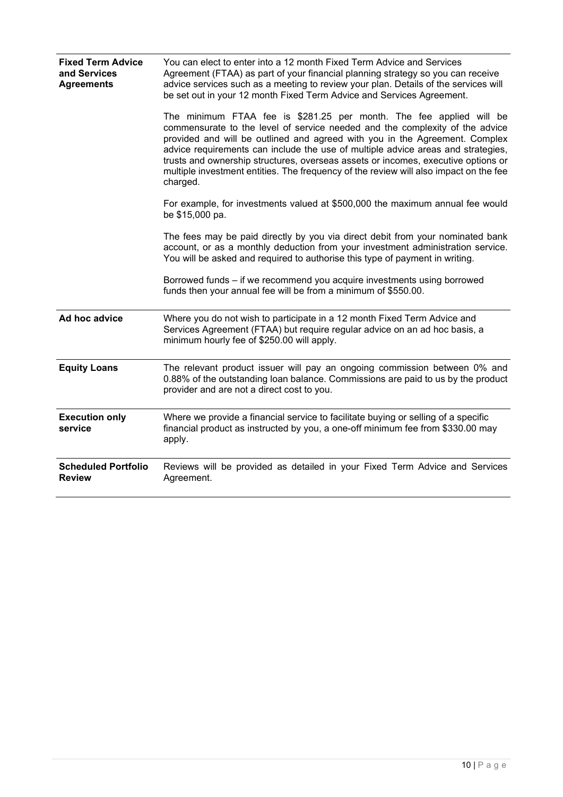| <b>Fixed Term Advice</b><br>and Services<br><b>Agreements</b> | You can elect to enter into a 12 month Fixed Term Advice and Services<br>Agreement (FTAA) as part of your financial planning strategy so you can receive<br>advice services such as a meeting to review your plan. Details of the services will<br>be set out in your 12 month Fixed Term Advice and Services Agreement.                                                                                                                                                                                         |
|---------------------------------------------------------------|------------------------------------------------------------------------------------------------------------------------------------------------------------------------------------------------------------------------------------------------------------------------------------------------------------------------------------------------------------------------------------------------------------------------------------------------------------------------------------------------------------------|
|                                                               | The minimum FTAA fee is \$281.25 per month. The fee applied will be<br>commensurate to the level of service needed and the complexity of the advice<br>provided and will be outlined and agreed with you in the Agreement. Complex<br>advice requirements can include the use of multiple advice areas and strategies,<br>trusts and ownership structures, overseas assets or incomes, executive options or<br>multiple investment entities. The frequency of the review will also impact on the fee<br>charged. |
|                                                               | For example, for investments valued at \$500,000 the maximum annual fee would<br>be \$15,000 pa.                                                                                                                                                                                                                                                                                                                                                                                                                 |
|                                                               | The fees may be paid directly by you via direct debit from your nominated bank<br>account, or as a monthly deduction from your investment administration service.<br>You will be asked and required to authorise this type of payment in writing.                                                                                                                                                                                                                                                                |
|                                                               | Borrowed funds - if we recommend you acquire investments using borrowed<br>funds then your annual fee will be from a minimum of \$550.00.                                                                                                                                                                                                                                                                                                                                                                        |
| Ad hoc advice                                                 | Where you do not wish to participate in a 12 month Fixed Term Advice and<br>Services Agreement (FTAA) but require regular advice on an ad hoc basis, a<br>minimum hourly fee of \$250.00 will apply.                                                                                                                                                                                                                                                                                                             |
| <b>Equity Loans</b>                                           | The relevant product issuer will pay an ongoing commission between 0% and<br>0.88% of the outstanding loan balance. Commissions are paid to us by the product<br>provider and are not a direct cost to you.                                                                                                                                                                                                                                                                                                      |
| <b>Execution only</b><br>service                              | Where we provide a financial service to facilitate buying or selling of a specific<br>financial product as instructed by you, a one-off minimum fee from \$330.00 may<br>apply.                                                                                                                                                                                                                                                                                                                                  |
| <b>Scheduled Portfolio</b><br><b>Review</b>                   | Reviews will be provided as detailed in your Fixed Term Advice and Services<br>Agreement.                                                                                                                                                                                                                                                                                                                                                                                                                        |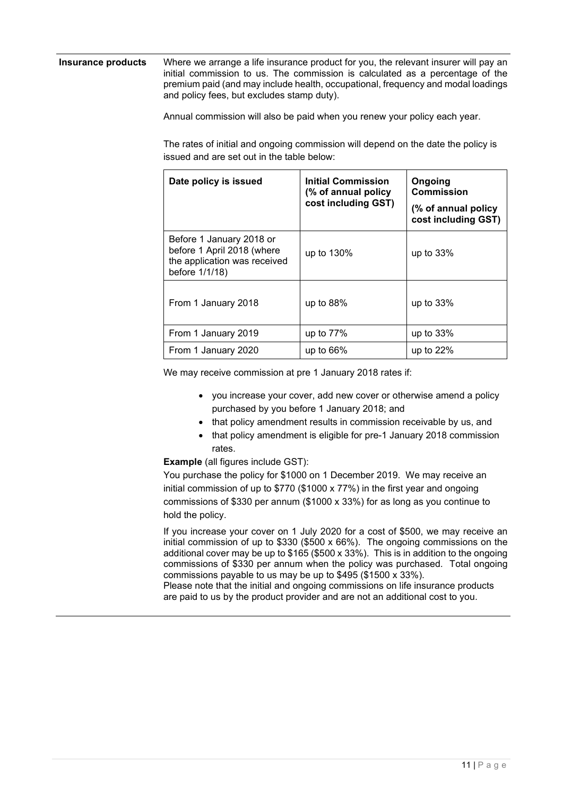**Insurance products** Where we arrange a life insurance product for you, the relevant insurer will pay an initial commission to us. The commission is calculated as a percentage of the premium paid (and may include health, occupational, frequency and modal loadings and policy fees, but excludes stamp duty).

Annual commission will also be paid when you renew your policy each year.

The rates of initial and ongoing commission will depend on the date the policy is issued and are set out in the table below:

| Date policy is issued                                                                                    | <b>Initial Commission</b><br>(% of annual policy)<br>cost including GST) | Ongoing<br><b>Commission</b><br>(% of annual policy<br>cost including GST) |
|----------------------------------------------------------------------------------------------------------|--------------------------------------------------------------------------|----------------------------------------------------------------------------|
| Before 1 January 2018 or<br>before 1 April 2018 (where<br>the application was received<br>before 1/1/18) | up to 130%                                                               | up to $33%$                                                                |
| From 1 January 2018                                                                                      | up to $88%$                                                              | up to $33%$                                                                |
| From 1 January 2019                                                                                      | up to 77%                                                                | up to 33%                                                                  |
| From 1 January 2020                                                                                      | up to $66%$                                                              | up to $22%$                                                                |

We may receive commission at pre 1 January 2018 rates if:

- you increase your cover, add new cover or otherwise amend a policy purchased by you before 1 January 2018; and
- that policy amendment results in commission receivable by us, and
- that policy amendment is eligible for pre-1 January 2018 commission rates.

**Example** (all figures include GST):

You purchase the policy for \$1000 on 1 December 2019. We may receive an initial commission of up to \$770 (\$1000 x 77%) in the first year and ongoing commissions of \$330 per annum (\$1000 x 33%) for as long as you continue to hold the policy.

If you increase your cover on 1 July 2020 for a cost of \$500, we may receive an initial commission of up to \$330 (\$500 x 66%). The ongoing commissions on the additional cover may be up to  $$165$  ( $$500 \times 33\%$ ). This is in addition to the ongoing commissions of \$330 per annum when the policy was purchased. Total ongoing commissions payable to us may be up to \$495 (\$1500 x 33%).

Please note that the initial and ongoing commissions on life insurance products are paid to us by the product provider and are not an additional cost to you.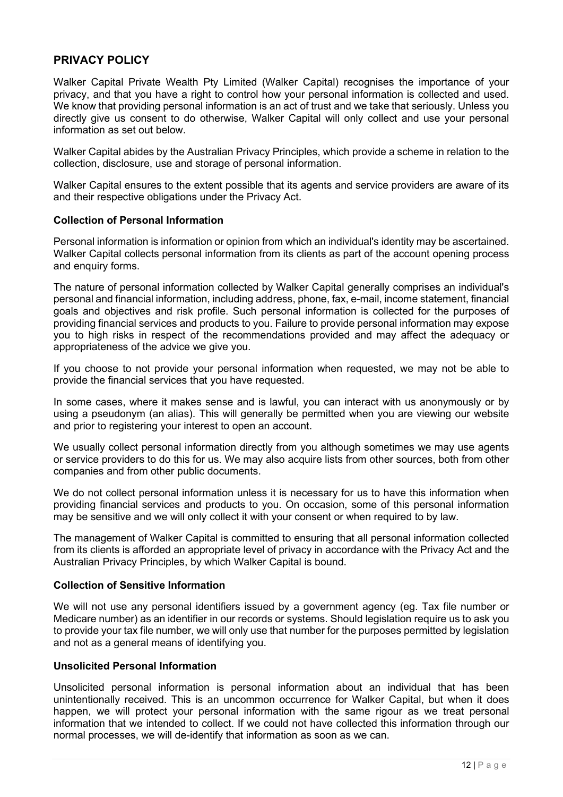# **PRIVACY POLICY**

Walker Capital Private Wealth Pty Limited (Walker Capital) recognises the importance of your privacy, and that you have a right to control how your personal information is collected and used. We know that providing personal information is an act of trust and we take that seriously. Unless you directly give us consent to do otherwise, Walker Capital will only collect and use your personal information as set out below.

Walker Capital abides by the Australian Privacy Principles, which provide a scheme in relation to the collection, disclosure, use and storage of personal information.

Walker Capital ensures to the extent possible that its agents and service providers are aware of its and their respective obligations under the Privacy Act.

#### **Collection of Personal Information**

Personal information is information or opinion from which an individual's identity may be ascertained. Walker Capital collects personal information from its clients as part of the account opening process and enquiry forms.

The nature of personal information collected by Walker Capital generally comprises an individual's personal and financial information, including address, phone, fax, e-mail, income statement, financial goals and objectives and risk profile. Such personal information is collected for the purposes of providing financial services and products to you. Failure to provide personal information may expose you to high risks in respect of the recommendations provided and may affect the adequacy or appropriateness of the advice we give you.

If you choose to not provide your personal information when requested, we may not be able to provide the financial services that you have requested.

In some cases, where it makes sense and is lawful, you can interact with us anonymously or by using a pseudonym (an alias). This will generally be permitted when you are viewing our website and prior to registering your interest to open an account.

We usually collect personal information directly from you although sometimes we may use agents or service providers to do this for us. We may also acquire lists from other sources, both from other companies and from other public documents.

We do not collect personal information unless it is necessary for us to have this information when providing financial services and products to you. On occasion, some of this personal information may be sensitive and we will only collect it with your consent or when required to by law.

The management of Walker Capital is committed to ensuring that all personal information collected from its clients is afforded an appropriate level of privacy in accordance with the Privacy Act and the Australian Privacy Principles, by which Walker Capital is bound.

# **Collection of Sensitive Information**

We will not use any personal identifiers issued by a government agency (eg. Tax file number or Medicare number) as an identifier in our records or systems. Should legislation require us to ask you to provide your tax file number, we will only use that number for the purposes permitted by legislation and not as a general means of identifying you.

#### **Unsolicited Personal Information**

Unsolicited personal information is personal information about an individual that has been unintentionally received. This is an uncommon occurrence for Walker Capital, but when it does happen, we will protect your personal information with the same rigour as we treat personal information that we intended to collect. If we could not have collected this information through our normal processes, we will de-identify that information as soon as we can.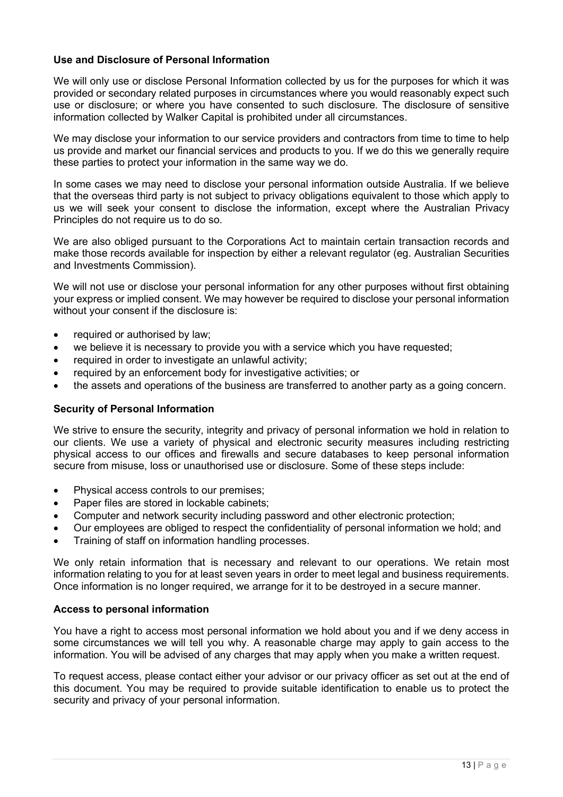# **Use and Disclosure of Personal Information**

We will only use or disclose Personal Information collected by us for the purposes for which it was provided or secondary related purposes in circumstances where you would reasonably expect such use or disclosure; or where you have consented to such disclosure. The disclosure of sensitive information collected by Walker Capital is prohibited under all circumstances.

We may disclose your information to our service providers and contractors from time to time to help us provide and market our financial services and products to you. If we do this we generally require these parties to protect your information in the same way we do.

In some cases we may need to disclose your personal information outside Australia. If we believe that the overseas third party is not subject to privacy obligations equivalent to those which apply to us we will seek your consent to disclose the information, except where the Australian Privacy Principles do not require us to do so.

We are also obliged pursuant to the Corporations Act to maintain certain transaction records and make those records available for inspection by either a relevant regulator (eg. Australian Securities and Investments Commission).

We will not use or disclose your personal information for any other purposes without first obtaining your express or implied consent. We may however be required to disclose your personal information without your consent if the disclosure is:

- required or authorised by law;
- we believe it is necessary to provide you with a service which you have requested;
- required in order to investigate an unlawful activity:
- required by an enforcement body for investigative activities; or
- the assets and operations of the business are transferred to another party as a going concern.

#### **Security of Personal Information**

We strive to ensure the security, integrity and privacy of personal information we hold in relation to our clients. We use a variety of physical and electronic security measures including restricting physical access to our offices and firewalls and secure databases to keep personal information secure from misuse, loss or unauthorised use or disclosure. Some of these steps include:

- Physical access controls to our premises;
- Paper files are stored in lockable cabinets;
- Computer and network security including password and other electronic protection;
- Our employees are obliged to respect the confidentiality of personal information we hold; and
- Training of staff on information handling processes.

We only retain information that is necessary and relevant to our operations. We retain most information relating to you for at least seven years in order to meet legal and business requirements. Once information is no longer required, we arrange for it to be destroyed in a secure manner.

#### **Access to personal information**

You have a right to access most personal information we hold about you and if we deny access in some circumstances we will tell you why. A reasonable charge may apply to gain access to the information. You will be advised of any charges that may apply when you make a written request.

To request access, please contact either your advisor or our privacy officer as set out at the end of this document. You may be required to provide suitable identification to enable us to protect the security and privacy of your personal information.